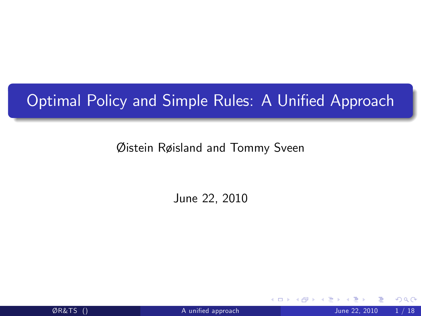# Optimal Policy and Simple Rules: A Unified Approach

Øistein Røisland and Tommy Sveen

June 22, 2010

<span id="page-0-0"></span>4 0 8

 $\emptyset$ R&TS ()  $\blacksquare$  A unified approach  $\blacksquare$  June 22, 2010  $\blacksquare$  / 18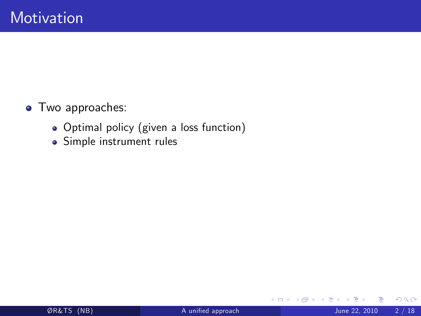- **•** Two approaches:
	- Optimal policy (given a loss function)
	- Simple instrument rules

**∢ ロ ▶ ィ 何** 

 $\rightarrow$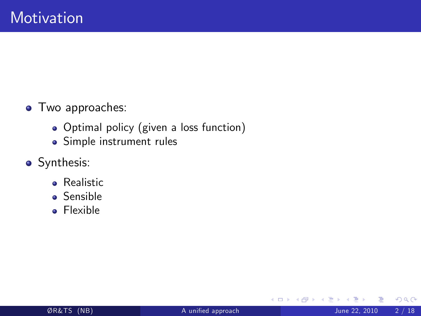- **•** Two approaches:
	- Optimal policy (given a loss function)
	- Simple instrument rules
- Synthesis:
	- **•** Realistic
	- **•** Sensible
	- **•** Flexible

4 0 8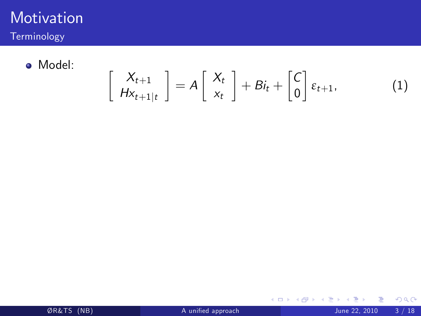

Terminology

Model:

$$
\left[\begin{array}{c} X_{t+1} \\ H_{X_{t+1|t}} \end{array}\right] = A \left[\begin{array}{c} X_t \\ x_t \end{array}\right] + Bi_t + \left[\begin{array}{c} C \\ 0 \end{array}\right] \varepsilon_{t+1}, \tag{1}
$$

 $299$ 

 $\mathcal{A}$ 

重 J.

**K ロト K 倒 ト K 差 K**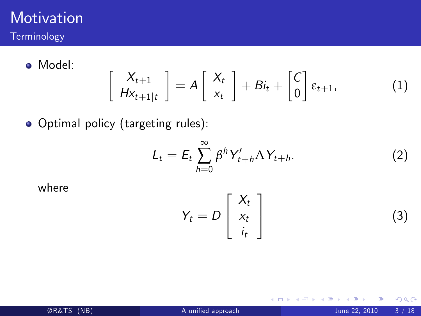

Model:

$$
\left[\begin{array}{c} X_{t+1} \\ HX_{t+1|t} \end{array}\right] = A\left[\begin{array}{c} X_t \\ x_t \end{array}\right] + Bi_t + \left[\begin{array}{c} C \\ 0 \end{array}\right] \varepsilon_{t+1}, \tag{1}
$$

Optimal policy (targeting rules):

$$
L_t = E_t \sum_{h=0}^{\infty} \beta^h Y_{t+h}' \Lambda Y_{t+h}.
$$
 (2)

where

$$
Y_t = D\left[\begin{array}{c} X_t \\ x_t \\ i_t \end{array}\right]
$$
 (3)

**← ロ → → ← 何 →**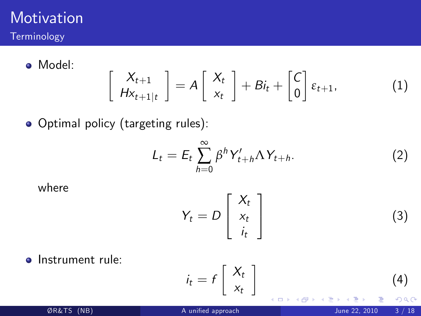

Model:

$$
\left[\begin{array}{c} X_{t+1} \\ HX_{t+1|t} \end{array}\right] = A\left[\begin{array}{c} X_t \\ x_t \end{array}\right] + Bi_t + \left[\begin{array}{c} C \\ 0 \end{array}\right] \varepsilon_{t+1}, \tag{1}
$$

• Optimal policy (targeting rules):

$$
L_t = E_t \sum_{h=0}^{\infty} \beta^h Y'_{t+h} \Lambda Y_{t+h}.
$$
 (2)

where

$$
Y_t = D\left[\begin{array}{c} X_t \\ x_t \\ i_t \end{array}\right]
$$
 (3)

**·** Instrument rule:

$$
i_t = f\left[\begin{array}{c} X_t \\ x_t \end{array}\right]
$$
 (4)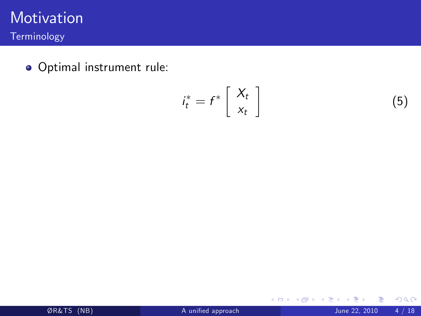

Terminology

Optimal instrument rule:

$$
i_t^* = f^* \left[ \begin{array}{c} X_t \\ x_t \end{array} \right]
$$

Þ þ.

 $\rightarrow$ ×

**K ロ ▶ K 御 ▶ K 舌** 

 $298$ 

(5)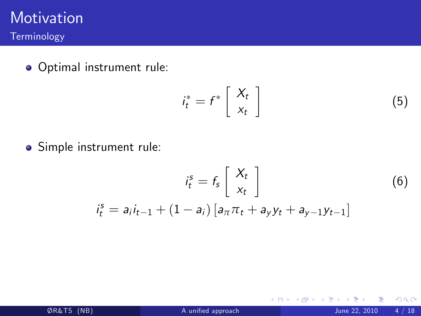

#### Optimal instrument rule:

$$
i_t^* = f^* \left[ \begin{array}{c} X_t \\ x_t \end{array} \right] \tag{5}
$$

**∢ ロ ▶ イ 伊 ▶** 

 $\sim$  4.

Simple instrument rule:

$$
i_t^s = f_s \begin{bmatrix} X_t \\ x_t \end{bmatrix}
$$
 (6)  

$$
i_t^s = a_i i_{t-1} + (1 - a_i) [a_{\pi} \pi_t + a_y y_t + a_{y-1} y_{t-1}]
$$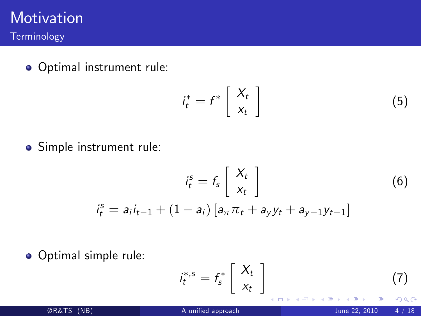

Optimal instrument rule:

$$
i_t^* = f^* \left[ \begin{array}{c} X_t \\ x_t \end{array} \right] \tag{5}
$$

Simple instrument rule:

$$
i_t^s = f_s \begin{bmatrix} X_t \\ x_t \end{bmatrix}
$$
 (6)  

$$
i_t^s = a_i i_{t-1} + (1 - a_i) [a_{\pi} \pi_t + a_y y_t + a_{y-1} y_{t-1}]
$$

Optimal simple rule:

$$
i_t^{*,s} = f_s^* \left[ \begin{array}{c} X_t \\ x_t \end{array} \right] \tag{7}
$$

4 0 8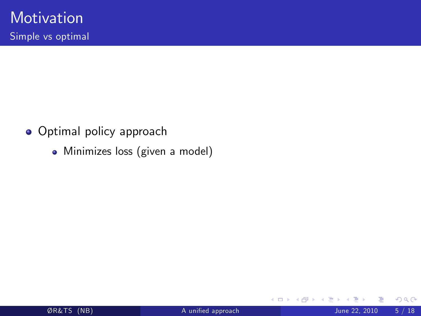- **•** Optimal policy approach
	- Minimizes loss (given a model)

4 D F ⊣⊢  $\sim$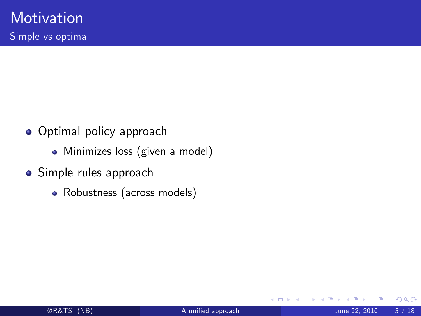- **Optimal policy approach** 
	- Minimizes loss (given a model)
- Simple rules approach
	- Robustness (across models)

4 0 8

 $QQ$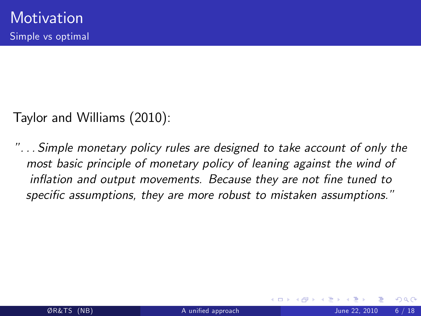Taylor and Williams (2010):

î. . . Simple monetary policy rules are designed to take account of only the most basic principle of monetary policy of leaning against the wind of inflation and output movements. Because they are not fine tuned to specific assumptions, they are more robust to mistaken assumptions."

 $\Omega$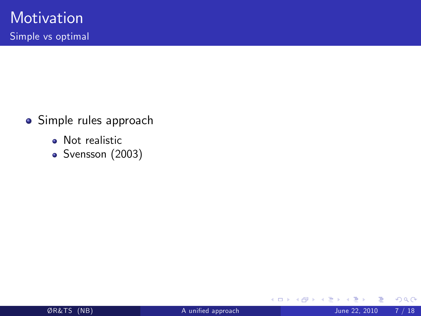- Simple rules approach
	- Not realistic
	- Svensson (2003)

 $\leftarrow$   $\Box$ 

⊣⊢  $\rightarrow$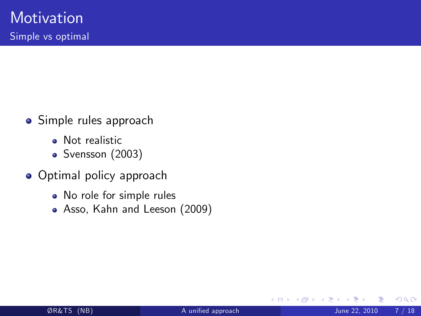- **•** Simple rules approach
	- **a** Not realistic
	- Svensson (2003)
- **•** Optimal policy approach
	- No role for simple rules
	- Asso, Kahn and Leeson (2009)

4 0 8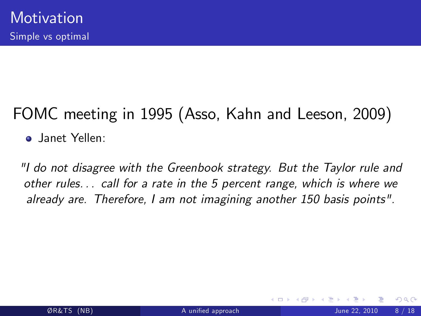# FOMC meeting in 1995 (Asso, Kahn and Leeson, 2009)

**o** Janet Yellen:

"I do not disagree with the Greenbook strategy. But the Taylor rule and other rules. . . call for a rate in the 5 percent range, which is where we already are. Therefore, I am not imagining another 150 basis points".

 $\Omega$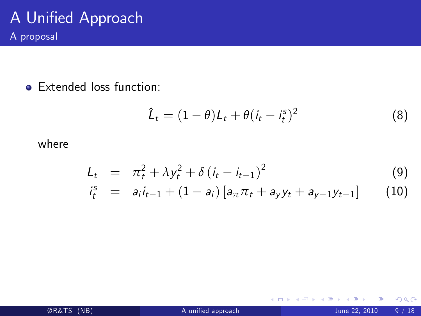• Extended loss function:

$$
\hat{L}_t = (1 - \theta)L_t + \theta(i_t - i_t^s)^2 \tag{8}
$$

**K ロ ト K 伊 ト K** 

э

where

$$
L_t = \pi_t^2 + \lambda y_t^2 + \delta (i_t - i_{t-1})^2
$$
 (9)

$$
i_t^s = a_i i_{t-1} + (1 - a_i) [a_{\pi} \pi_t + a_{y} y_t + a_{y-1} y_{t-1}] \qquad (10)
$$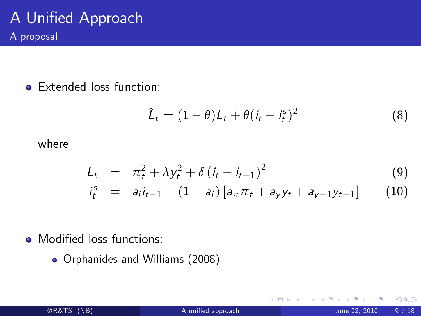**e** Extended loss function:

$$
\hat{L}_t = (1 - \theta)L_t + \theta(i_t - i_t^s)^2 \tag{8}
$$

4 0 8

where

$$
L_t = \pi_t^2 + \lambda y_t^2 + \delta (i_t - i_{t-1})^2
$$
 (9)

$$
i_t^s = a_i i_{t-1} + (1 - a_i) [a_{\pi} \pi_t + a_{y} y_t + a_{y-1} y_{t-1}] \qquad (10)
$$

• Modified loss functions:

Orphanides and Williams (2008)

 $QQ$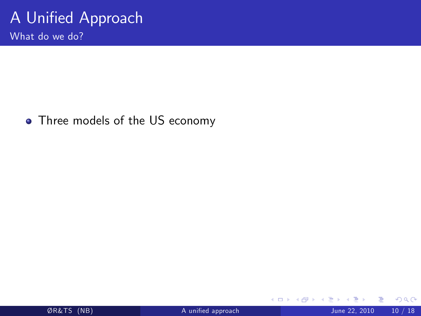What do we do?

• Three models of the US economy

**← ロ ▶ → イ 同** 

**SILLER** 

э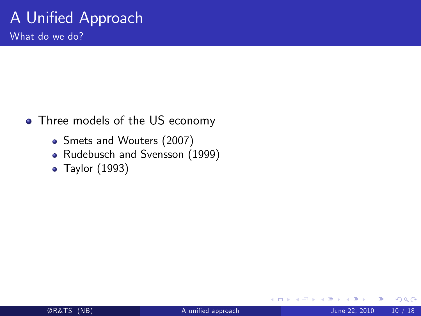What do we do?

- Three models of the US economy
	- Smets and Wouters (2007)
	- Rudebusch and Svensson (1999)
	- Taylor (1993)

4 0 8

 $QQ$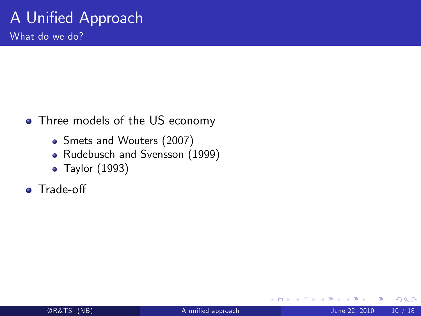What do we do?

- Three models of the US economy
	- Smets and Wouters (2007)
	- Rudebusch and Svensson (1999)
	- Taylor (1993)
- **o** Trade-off

4 0 8

 $QQ$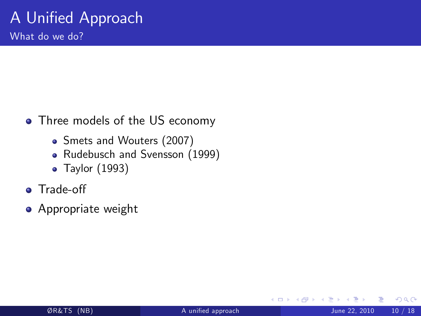What do we do?

- Three models of the US economy
	- Smets and Wouters (2007)
	- Rudebusch and Svensson (1999)
	- Taylor (1993)
- **o** Trade-off
- **•** Appropriate weight

4 0 8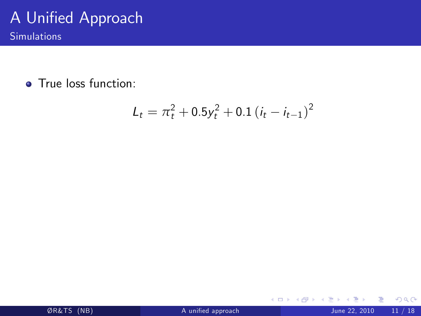Simulations

**•** True loss function:

$$
L_t = \pi_t^2 + 0.5y_t^2 + 0.1(i_t - i_{t-1})^2
$$

≃

**K ロ ト K 伊 ト K**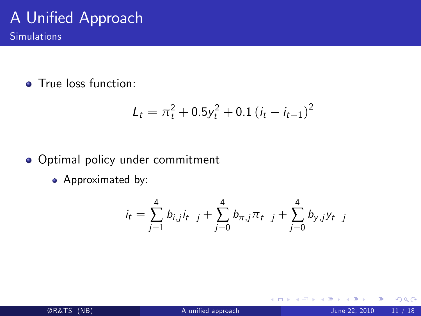**o** True loss function:

$$
L_t = \pi_t^2 + 0.5y_t^2 + 0.1(i_t - i_{t-1})^2
$$

#### • Optimal policy under commitment

• Approximated by:

$$
i_t = \sum_{j=1}^4 b_{i,j} i_{t-j} + \sum_{j=0}^4 b_{\pi,j} \pi_{t-j} + \sum_{j=0}^4 b_{y,j} y_{t-j}
$$

4 D F

 $QQ$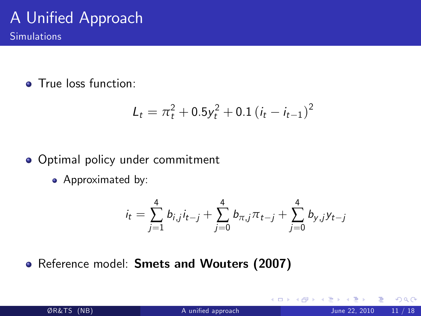**o** True loss function:

$$
L_t = \pi_t^2 + 0.5y_t^2 + 0.1(i_t - i_{t-1})^2
$$

#### **• Optimal policy under commitment**

• Approximated by:

$$
i_t = \sum_{j=1}^4 b_{i,j} i_{t-j} + \sum_{j=0}^4 b_{\pi,j} \pi_{t-j} + \sum_{j=0}^4 b_{y,j} y_{t-j}
$$

4 0 8

Reference model: Smets and Wouters (2007)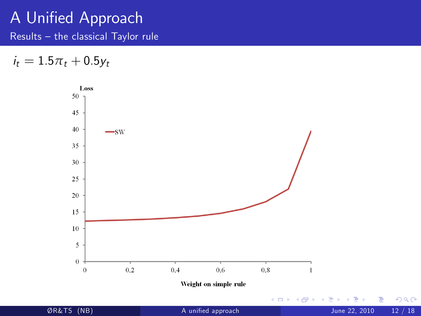Results  $-$  the classical Taylor rule

 $i_t = 1.5\pi_t + 0.5y_t$ 

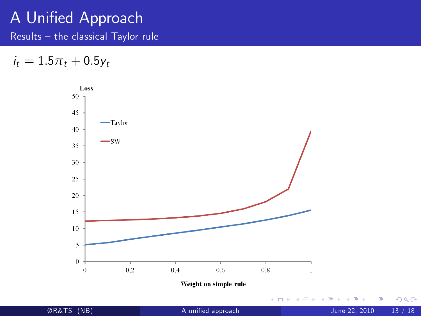Results  $-$  the classical Taylor rule

 $i_t = 1.5\pi_t + 0.5y_t$ 

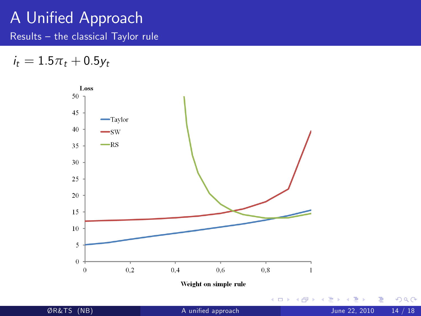Results  $-$  the classical Taylor rule

 $i_t = 1.5\pi_t + 0.5y_t$ 

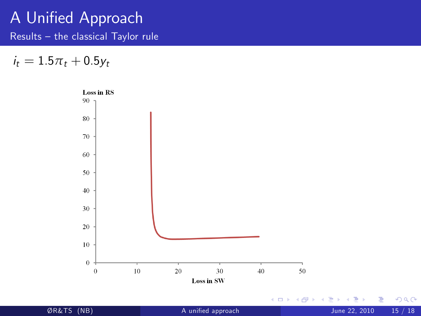Results  $-$  the classical Taylor rule

 $i_t = 1.5\pi_t + 0.5y_t$ 

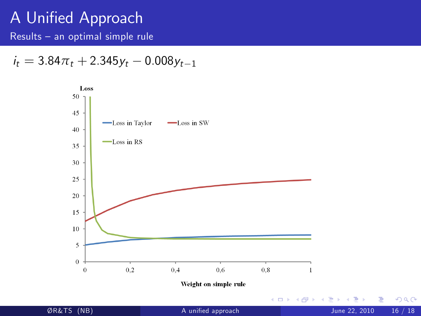Results  $-$  an optimal simple rule

$$
i_t = 3.84\pi_t + 2.345y_t - 0.008y_{t-1}
$$

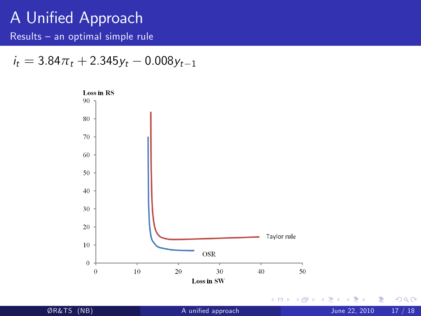Results  $-$  an optimal simple rule

$$
i_t = 3.84\pi_t + 2.345y_t - 0.008y_{t-1}
$$



Þ þ. ÿR&TS (NB) [A uniÖed approach](#page-0-0) June 22, 2010 17 / 18

÷,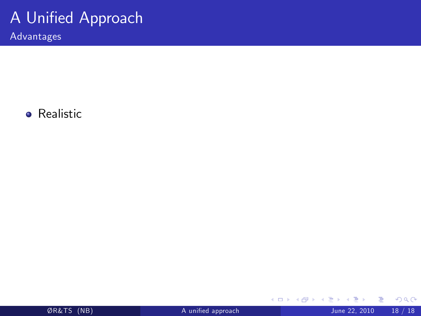Advantages

**•** Realistic

| ØR&TS (NB) |
|------------|
|------------|

Þ þ.

∍ ×  $\mathcal{A}$ 

**K ロ ト K 伊 ト K**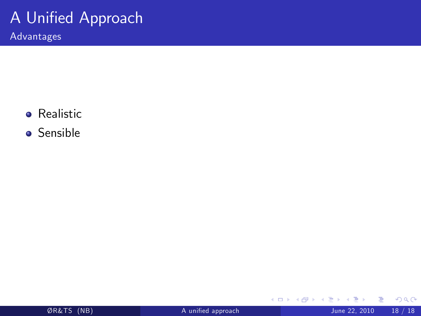Advantages

- **•** Realistic
- **o** Sensible

Þ

∍  $\mathcal{A}$ 

**K ロ ト K 伊 ト K** 

重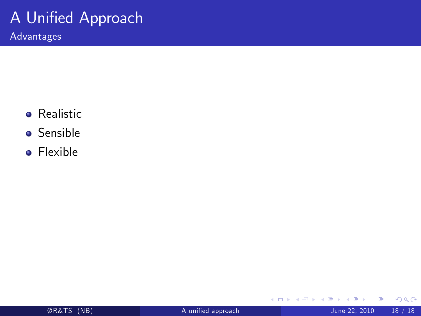Advantages

- **•** Realistic
- **o** Sensible
- **•** Flexible

÷

∍

**K ロ ト K 伊 ト K** 

重